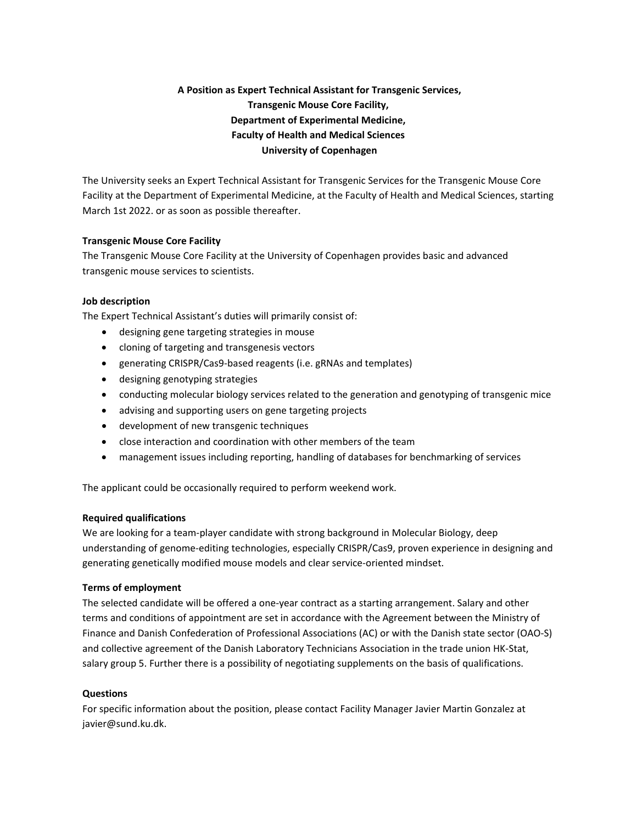# **A Position as Expert Technical Assistant for Transgenic Services, Transgenic Mouse Core Facility, Department of Experimental Medicine, Faculty of Health and Medical Sciences University of Copenhagen**

The University seeks an Expert Technical Assistant for Transgenic Services for the Transgenic Mouse Core Facility at the Department of Experimental Medicine, at the Faculty of Health and Medical Sciences, starting March 1st 2022. or as soon as possible thereafter.

## **Transgenic Mouse Core Facility**

The Transgenic Mouse Core Facility at the University of Copenhagen provides basic and advanced transgenic mouse services to scientists.

## **Job description**

The Expert Technical Assistant's duties will primarily consist of:

- designing gene targeting strategies in mouse
- cloning of targeting and transgenesis vectors
- generating CRISPR/Cas9-based reagents (i.e. gRNAs and templates)
- designing genotyping strategies
- conducting molecular biology services related to the generation and genotyping of transgenic mice
- advising and supporting users on gene targeting projects
- development of new transgenic techniques
- close interaction and coordination with other members of the team
- management issues including reporting, handling of databases for benchmarking of services

The applicant could be occasionally required to perform weekend work.

#### **Required qualifications**

We are looking for a team-player candidate with strong background in Molecular Biology, deep understanding of genome‐editing technologies, especially CRISPR/Cas9, proven experience in designing and generating genetically modified mouse models and clear service‐oriented mindset.

#### **Terms of employment**

The selected candidate will be offered a one‐year contract as a starting arrangement. Salary and other terms and conditions of appointment are set in accordance with the Agreement between the Ministry of Finance and Danish Confederation of Professional Associations (AC) or with the Danish state sector (OAO‐S) and collective agreement of the Danish Laboratory Technicians Association in the trade union HK‐Stat, salary group 5. Further there is a possibility of negotiating supplements on the basis of qualifications.

#### **Questions**

For specific information about the position, please contact Facility Manager Javier Martin Gonzalez at javier@sund.ku.dk.